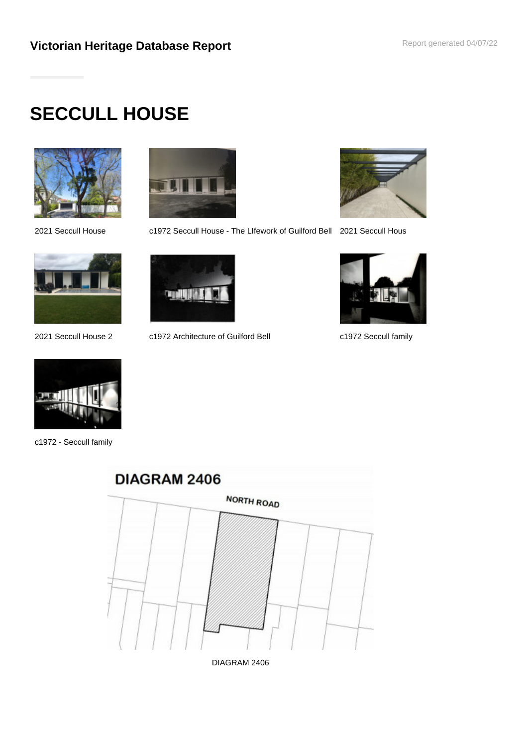# **SECCULL HOUSE**







c1972 - Seccull family



2021 Seccull House c1972 Seccull House - The LIfework of Guilford Bell 2021 Seccull Hous





2021 Seccull House 2 c1972 Architecture of Guilford Bell c1972 Seccull family





DIAGRAM 2406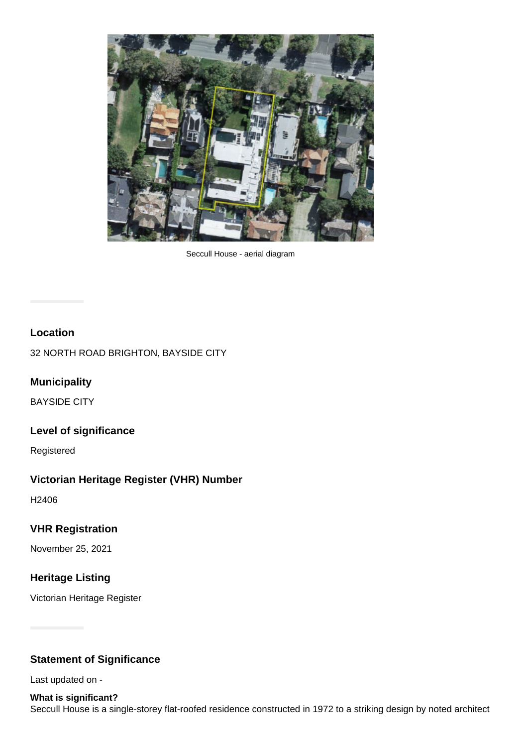

Seccull House - aerial diagram

# **Location**

32 NORTH ROAD BRIGHTON, BAYSIDE CITY

# **Municipality**

BAYSIDE CITY

### **Level of significance**

Registered

# **Victorian Heritage Register (VHR) Number**

H2406

# **VHR Registration**

November 25, 2021

# **Heritage Listing**

Victorian Heritage Register

# **Statement of Significance**

Last updated on -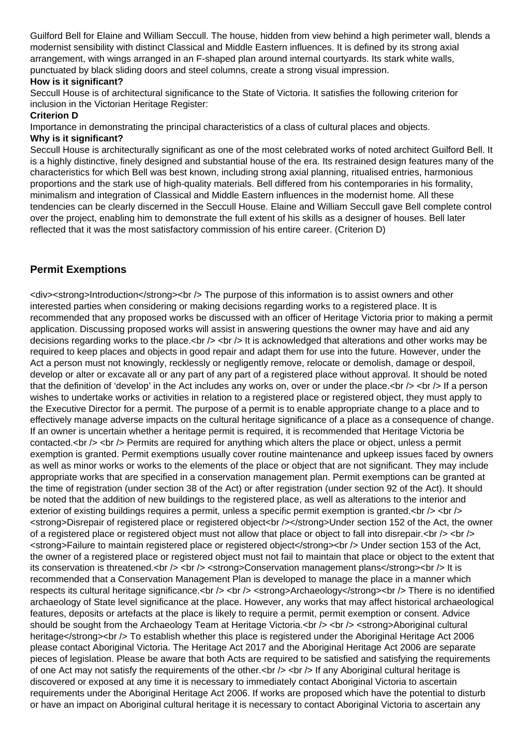Guilford Bell for Elaine and William Seccull. The house, hidden from view behind a high perimeter wall, blends a modernist sensibility with distinct Classical and Middle Eastern influences. It is defined by its strong axial arrangement, with wings arranged in an F-shaped plan around internal courtyards. Its stark white walls, punctuated by black sliding doors and steel columns, create a strong visual impression.

#### **How is it significant?**

Seccull House is of architectural significance to the State of Victoria. It satisfies the following criterion for inclusion in the Victorian Heritage Register:

#### **Criterion D**

Importance in demonstrating the principal characteristics of a class of cultural places and objects.

#### **Why is it significant?**

Seccull House is architecturally significant as one of the most celebrated works of noted architect Guilford Bell. It is a highly distinctive, finely designed and substantial house of the era. Its restrained design features many of the characteristics for which Bell was best known, including strong axial planning, ritualised entries, harmonious proportions and the stark use of high-quality materials. Bell differed from his contemporaries in his formality, minimalism and integration of Classical and Middle Eastern influences in the modernist home. All these tendencies can be clearly discerned in the Seccull House. Elaine and William Seccull gave Bell complete control over the project, enabling him to demonstrate the full extent of his skills as a designer of houses. Bell later reflected that it was the most satisfactory commission of his entire career. (Criterion D)

# **Permit Exemptions**

<div><strong>Introduction</strong><br /> The purpose of this information is to assist owners and other interested parties when considering or making decisions regarding works to a registered place. It is recommended that any proposed works be discussed with an officer of Heritage Victoria prior to making a permit application. Discussing proposed works will assist in answering questions the owner may have and aid any decisions regarding works to the place.<br />>  $\zeta$  />  $\zeta$  it is acknowledged that alterations and other works may be required to keep places and objects in good repair and adapt them for use into the future. However, under the Act a person must not knowingly, recklessly or negligently remove, relocate or demolish, damage or despoil, develop or alter or excavate all or any part of any part of a registered place without approval. It should be noted that the definition of 'develop' in the Act includes any works on, over or under the place.  $\langle$ br  $/$   $>$  If a person wishes to undertake works or activities in relation to a registered place or registered object, they must apply to the Executive Director for a permit. The purpose of a permit is to enable appropriate change to a place and to effectively manage adverse impacts on the cultural heritage significance of a place as a consequence of change. If an owner is uncertain whether a heritage permit is required, it is recommended that Heritage Victoria be contacted.<br />  $\epsilon$  /> Permits are required for anything which alters the place or object, unless a permit exemption is granted. Permit exemptions usually cover routine maintenance and upkeep issues faced by owners as well as minor works or works to the elements of the place or object that are not significant. They may include appropriate works that are specified in a conservation management plan. Permit exemptions can be granted at the time of registration (under section 38 of the Act) or after registration (under section 92 of the Act). It should be noted that the addition of new buildings to the registered place, as well as alterations to the interior and exterior of existing buildings requires a permit, unless a specific permit exemption is granted.<br />> <br /> <strong>Disrepair of registered place or registered object<br /></strong>Under section 152 of the Act, the owner of a registered place or registered object must not allow that place or object to fall into disrepair. < br /> < br /> <strong>Failure to maintain registered place or registered object</strong><br /> Under section 153 of the Act, the owner of a registered place or registered object must not fail to maintain that place or object to the extent that its conservation is threatened.<br />> <br />> <br />> <strong>Conservation management plans</strong><br />br /> It is recommended that a Conservation Management Plan is developed to manage the place in a manner which respects its cultural heritage significance.<br />> <br />> <br />> <strong>Archaeology</strong><br />> There is no identified archaeology of State level significance at the place. However, any works that may affect historical archaeological features, deposits or artefacts at the place is likely to require a permit, permit exemption or consent. Advice should be sought from the Archaeology Team at Heritage Victoria.<br />> <br />> <strong>Aboriginal cultural heritage</strong><br /> To establish whether this place is registered under the Aboriginal Heritage Act 2006 please contact Aboriginal Victoria. The Heritage Act 2017 and the Aboriginal Heritage Act 2006 are separate pieces of legislation. Please be aware that both Acts are required to be satisfied and satisfying the requirements of one Act may not satisfy the requirements of the other. $\langle$ br  $\rangle$   $\langle$ br  $\rangle$  If any Aboriginal cultural heritage is discovered or exposed at any time it is necessary to immediately contact Aboriginal Victoria to ascertain requirements under the Aboriginal Heritage Act 2006. If works are proposed which have the potential to disturb or have an impact on Aboriginal cultural heritage it is necessary to contact Aboriginal Victoria to ascertain any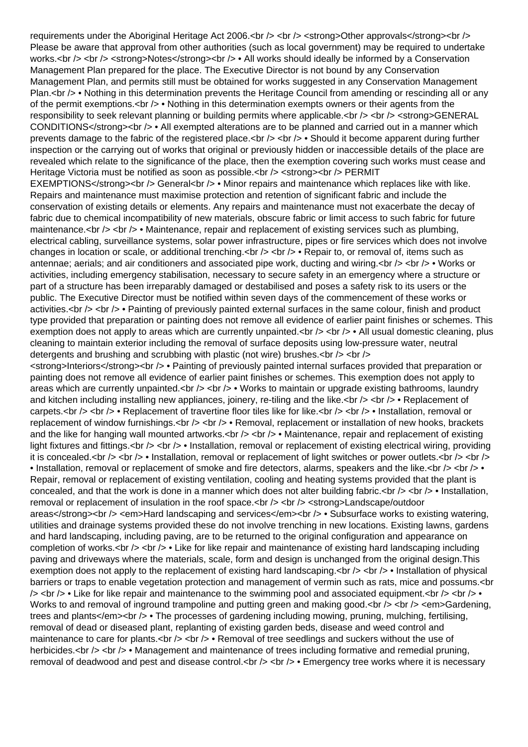requirements under the Aboriginal Heritage Act 2006.<br /> <br /> <strong>Other approvals</strong><br /> Please be aware that approval from other authorities (such as local government) may be required to undertake works.<br /> <br /> <strong>Notes</strong><br />> be All works should ideally be informed by a Conservation Management Plan prepared for the place. The Executive Director is not bound by any Conservation Management Plan, and permits still must be obtained for works suggested in any Conservation Management Plan.<br /> • Nothing in this determination prevents the Heritage Council from amending or rescinding all or any of the permit exemptions.<br />> • Nothing in this determination exempts owners or their agents from the responsibility to seek relevant planning or building permits where applicable.<br />> <br />> <br /> <strong>GENERAL CONDITIONS</strong><br />> • All exempted alterations are to be planned and carried out in a manner which prevents damage to the fabric of the registered place.<br />> <br />> <br />> • Should it become apparent during further inspection or the carrying out of works that original or previously hidden or inaccessible details of the place are revealed which relate to the significance of the place, then the exemption covering such works must cease and Heritage Victoria must be notified as soon as possible.<br /> <strong><br /> PERMIT EXEMPTIONS</strong><br />> General<br />  $\bullet$  Minor repairs and maintenance which replaces like with like. Repairs and maintenance must maximise protection and retention of significant fabric and include the conservation of existing details or elements. Any repairs and maintenance must not exacerbate the decay of fabric due to chemical incompatibility of new materials, obscure fabric or limit access to such fabric for future maintenance.<br />> <br />> • Maintenance, repair and replacement of existing services such as plumbing, electrical cabling, surveillance systems, solar power infrastructure, pipes or fire services which does not involve changes in location or scale, or additional trenching.<br />> <br />> • Repair to, or removal of, items such as antennae; aerials; and air conditioners and associated pipe work, ducting and wiring.  $\langle$ br />  $\langle$ br /> • Works or activities, including emergency stabilisation, necessary to secure safety in an emergency where a structure or part of a structure has been irreparably damaged or destabilised and poses a safety risk to its users or the public. The Executive Director must be notified within seven days of the commencement of these works or activities.<br />> <br />> • Painting of previously painted external surfaces in the same colour, finish and product type provided that preparation or painting does not remove all evidence of earlier paint finishes or schemes. This exemption does not apply to areas which are currently unpainted.<br />> > > • All usual domestic cleaning, plus cleaning to maintain exterior including the removal of surface deposits using low-pressure water, neutral detergents and brushing and scrubbing with plastic (not wire) brushes. $\langle$ br /> $\rangle$  <br /> $\langle$ <strong>Interiors</strong><br /> • Painting of previously painted internal surfaces provided that preparation or painting does not remove all evidence of earlier paint finishes or schemes. This exemption does not apply to areas which are currently unpainted.<br />> <br />> <br /> Works to maintain or upgrade existing bathrooms, laundry and kitchen including installing new appliances, joinery, re-tiling and the like.  $\langle$ br  $/$   $>$   $\langle$ br  $/$   $>$  Replacement of carpets.<br /> <br /> • Replacement of travertine floor tiles like for like.<br /> <br />> • Installation, removal or replacement of window furnishings.<br /> <br /> <br /> • Removal, replacement or installation of new hooks, brackets and the like for hanging wall mounted artworks.<br />> <br /> <br />
of Maintenance, repair and replacement of existing light fixtures and fittings.<br />  $\lt$  />  $\cdot$  Installation, removal or replacement of existing electrical wiring, providing it is concealed.<br />  $\langle$  >  $\cdot$  /> • Installation, removal or replacement of light switches or power outlets.<br />> <br />> <br /> • Installation, removal or replacement of smoke and fire detectors, alarms, speakers and the like.<br /> <br /> • Repair, removal or replacement of existing ventilation, cooling and heating systems provided that the plant is concealed, and that the work is done in a manner which does not alter building fabric. $\langle$ br  $/$ >  $\langle$  • Installation, removal or replacement of insulation in the roof space.<br />> $\ge$  /> <br />> <strong>Landscape/outdoor areas</strong><br />> <em>Hard landscaping and services</em><br />>>>> • Subsurface works to existing watering, utilities and drainage systems provided these do not involve trenching in new locations. Existing lawns, gardens and hard landscaping, including paving, are to be returned to the original configuration and appearance on completion of works.<br /> <br /> • Like for like repair and maintenance of existing hard landscaping including paving and driveways where the materials, scale, form and design is unchanged from the original design.This exemption does not apply to the replacement of existing hard landscaping. $\langle$ br  $\rangle$   $\langle$ br  $\rangle$  • Installation of physical barriers or traps to enable vegetation protection and management of vermin such as rats, mice and possums.<br  $/$  >  $\lt$ br  $/$  • Like for like repair and maintenance to the swimming pool and associated equipment. $\lt$ br  $/$  >  $\lt$   $\lt$  • Works to and removal of inground trampoline and putting green and making good.<br />> <br />> <em>Gardening, trees and plants</em><br />> • The processes of gardening including mowing, pruning, mulching, fertilising, removal of dead or diseased plant, replanting of existing garden beds, disease and weed control and maintenance to care for plants.<br />  $\lt$  />  $\cdot$  + Removal of tree seedlings and suckers without the use of herbicides.<br /> <br /> • Management and maintenance of trees including formative and remedial pruning, removal of deadwood and pest and disease control.<br />> <br />> <<br />Fmergency tree works where it is necessary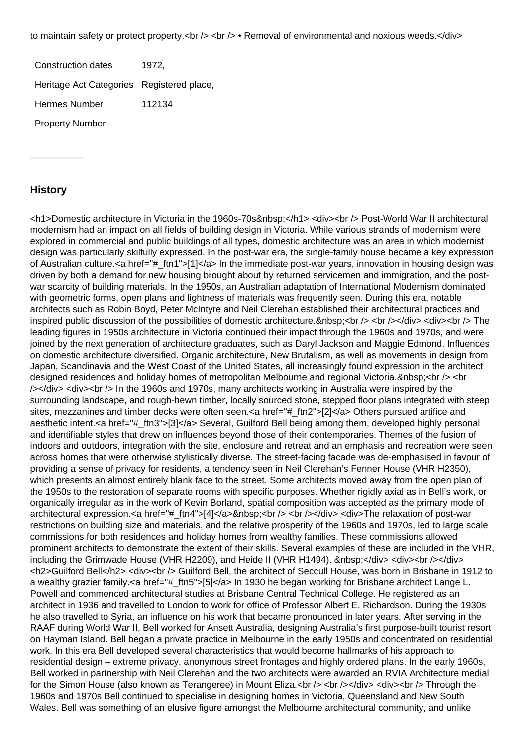to maintain safety or protect property.<br />> <br />>  $\epsilon$  > • Removal of environmental and noxious weeds.</div>

Construction dates 1972, Heritage Act Categories Registered place, Hermes Number 112134 Property Number

#### **History**

<h1>Domestic architecture in Victoria in the 1960s-70s&nbsp;</h1> <div><br />>> Post-World War II architectural modernism had an impact on all fields of building design in Victoria. While various strands of modernism were explored in commercial and public buildings of all types, domestic architecture was an area in which modernist design was particularly skilfully expressed. In the post-war era, the single-family house became a key expression of Australian culture.<a href="#\_ftn1">[1]</a> In the immediate post-war years, innovation in housing design was driven by both a demand for new housing brought about by returned servicemen and immigration, and the postwar scarcity of building materials. In the 1950s, an Australian adaptation of International Modernism dominated with geometric forms, open plans and lightness of materials was frequently seen. During this era, notable architects such as Robin Boyd, Peter McIntyre and Neil Clerehan established their architectural practices and inspired public discussion of the possibilities of domestic architecture. <br />> <br />> </div><div><br />>> </div><br />>> The leading figures in 1950s architecture in Victoria continued their impact through the 1960s and 1970s, and were joined by the next generation of architecture graduates, such as Daryl Jackson and Maggie Edmond. Influences on domestic architecture diversified. Organic architecture, New Brutalism, as well as movements in design from Japan, Scandinavia and the West Coast of the United States, all increasingly found expression in the architect designed residences and holiday homes of metropolitan Melbourne and regional Victoria. <br />> <br /> /></div> <div><br /> In the 1960s and 1970s, many architects working in Australia were inspired by the surrounding landscape, and rough-hewn timber, locally sourced stone, stepped floor plans integrated with steep sites, mezzanines and timber decks were often seen.<a href="#\_ftn2">[2]</a> Others pursued artifice and aesthetic intent.<a href="#\_ftn3">[3]</a> Several, Guilford Bell being among them, developed highly personal and identifiable styles that drew on influences beyond those of their contemporaries. Themes of the fusion of indoors and outdoors, integration with the site, enclosure and retreat and an emphasis and recreation were seen across homes that were otherwise stylistically diverse. The street-facing facade was de-emphasised in favour of providing a sense of privacy for residents, a tendency seen in Neil Clerehan's Fenner House (VHR H2350), which presents an almost entirely blank face to the street. Some architects moved away from the open plan of the 1950s to the restoration of separate rooms with specific purposes. Whether rigidly axial as in Bell's work, or organically irregular as in the work of Kevin Borland, spatial composition was accepted as the primary mode of architectural expression.<a href="#\_ftn4">[4]</a>&nbsp:<br />> /> <br />> </div><div>The relaxation of post-war restrictions on building size and materials, and the relative prosperity of the 1960s and 1970s, led to large scale commissions for both residences and holiday homes from wealthy families. These commissions allowed prominent architects to demonstrate the extent of their skills. Several examples of these are included in the VHR, including the Grimwade House (VHR H2209), and Heide II (VHR H1494). </div> <div><br />br /></div> <h2>Guilford Bell</h2> <div><br /> Guilford Bell, the architect of Seccull House, was born in Brisbane in 1912 to a wealthy grazier family.<a href="#\_ftn5">[5]</a> In 1930 he began working for Brisbane architect Lange L. Powell and commenced architectural studies at Brisbane Central Technical College. He registered as an architect in 1936 and travelled to London to work for office of Professor Albert E. Richardson. During the 1930s he also travelled to Syria, an influence on his work that became pronounced in later years. After serving in the RAAF during World War II, Bell worked for Ansett Australia, designing Australia's first purpose-built tourist resort on Hayman Island. Bell began a private practice in Melbourne in the early 1950s and concentrated on residential work. In this era Bell developed several characteristics that would become hallmarks of his approach to residential design – extreme privacy, anonymous street frontages and highly ordered plans. In the early 1960s, Bell worked in partnership with Neil Clerehan and the two architects were awarded an RVIA Architecture medial for the Simon House (also known as Terangeree) in Mount Eliza.<br />> $\epsilon$  /> <br />>//div><div><br />>>Through the 1960s and 1970s Bell continued to specialise in designing homes in Victoria, Queensland and New South Wales. Bell was something of an elusive figure amongst the Melbourne architectural community, and unlike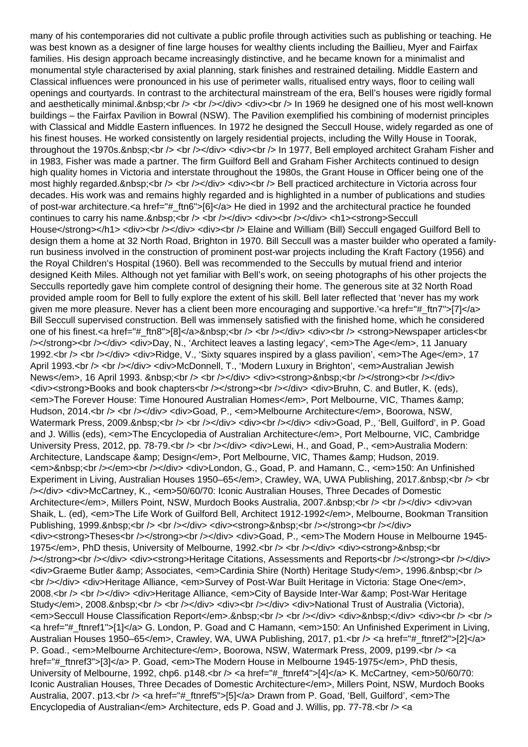many of his contemporaries did not cultivate a public profile through activities such as publishing or teaching. He was best known as a designer of fine large houses for wealthy clients including the Baillieu, Myer and Fairfax families. His design approach became increasingly distinctive, and he became known for a minimalist and monumental style characterised by axial planning, stark finishes and restrained detailing. Middle Eastern and Classical influences were pronounced in his use of perimeter walls, ritualised entry ways, floor to ceiling wall openings and courtyards. In contrast to the architectural mainstream of the era, Bell's houses were rigidly formal and aesthetically minimal. <br /> <br />> </div><div><br />br /> In 1969 he designed one of his most well-known buildings – the Fairfax Pavilion in Bowral (NSW). The Pavilion exemplified his combining of modernist principles with Classical and Middle Eastern influences. In 1972 he designed the Seccull House, widely regarded as one of his finest houses. He worked consistently on largely residential projects, including the Willy House in Toorak, throughout the 1970s. <br />> <br />> </div><div><br />> In 1977, Bell employed architect Graham Fisher and in 1983, Fisher was made a partner. The firm Guilford Bell and Graham Fisher Architects continued to design high quality homes in Victoria and interstate throughout the 1980s, the Grant House in Officer being one of the most highly regarded.&nbsp:<br />> <br />> </div><div><br />br /> Bell practiced architecture in Victoria across four decades. His work was and remains highly regarded and is highlighted in a number of publications and studies of post-war architecture.<a href="#\_ftn6">[6]</a> He died in 1992 and the architectural practice he founded continues to carry his name. <br />> <br />>> <br />></div><div><br />></div><h1><strong>Seccull House</strong></h1> <div><br />>/>></div><div><br />>>>>> Elaine and William (Bill) Seccull engaged Guilford Bell to design them a home at 32 North Road, Brighton in 1970. Bill Seccull was a master builder who operated a familyrun business involved in the construction of prominent post-war projects including the Kraft Factory (1956) and the Royal Children's Hospital (1960). Bell was recommended to the Secculls by mutual friend and interior designed Keith Miles. Although not yet familiar with Bell's work, on seeing photographs of his other projects the Secculls reportedly gave him complete control of designing their home. The generous site at 32 North Road provided ample room for Bell to fully explore the extent of his skill. Bell later reflected that 'never has my work given me more pleasure. Never has a client been more encouraging and supportive.'<a href="# ftn7">[7]</a> Bill Seccull supervised construction. Bell was immensely satisfied with the finished home, which he considered one of his finest.<a href="#\_ftn8">[8]</a>&nbsp;<br />> <br />> <br />> <div><div><br />> <strong>Newspaper articles<br /></strong><br /></div> <div>Day, N., 'Architect leaves a lasting legacy', <em>The Age</em>, 11 January 1992.<br />> <br />> </div> <div>Ridge, V., 'Sixty squares inspired by a glass pavilion', <em>The Age</em>, 17 April 1993.<br />> <br />>/> </div><div>McDonnell, T., 'Modern Luxury in Brighton', <em>Australian Jewish News</em>, 16 April 1993. &nbsp:<br/>
kohimizyotaliya <div><strong>&nbsp:<br/>
kohimizyotaliya News</strong><br/>
kohimizyotaliya <div> <div><strong>Books and book chapters<br /></strong><br /></div> <div>Bruhn, C. and Butler, K. (eds), <em>The Forever House: Time Honoured Australian Homes</em>, Port Melbourne, VIC, Thames &amp; Hudson, 2014.<br />> <br />>the /> </aiv> <div>Goad, P., <em>Melbourne Architecture</em>, Boorowa, NSW, Watermark Press, 2009.&nbsp:<br />> <br />> </div> <div></div> <div></div> <div>Goad, P., 'Bell, Guilford', in P. Goad and J. Willis (eds), <em>The Encyclopedia of Australian Architecture</em>, Port Melbourne, VIC, Cambridge University Press, 2012, pp. 78-79.<br />h />></div></div> <div>Lewi, H., and Goad, P., <em>Australia Modern: Architecture, Landscape & amp; Design</em>, Port Melbourne, VIC, Thames & amp; Hudson, 2019. <em>&nbsp;<br/></em><br/>>>/cn /></div><div>London, G., Goad, P. and Hamann, C., <em>150: An Unfinished Experiment in Living, Australian Houses 1950–65</em>, Crawley, WA, UWA Publishing, 2017.&nbsp;<br />> <br /></div> <div>McCartney, K., <em>50/60/70: Iconic Australian Houses, Three Decades of Domestic Architecture</em>, Millers Point, NSW, Murdoch Books Australia, 2007.&nbsp:<br />> /> </div></div></div>van Shaik, L. (ed), <em>The Life Work of Guilford Bell, Architect 1912-1992</em>, Melbourne, Bookman Transition Publishing, 1999. <br />> /> <br />>/or /> </div><div><strong>&nbsp;<br />>tr /></strong><br />cht /></div> <div><strong>Theses<br />>/></strong><br />>/>/></div><div>Goad, P., <em>The Modern House in Melbourne 1945-1975</em>, PhD thesis, University of Melbourne, 1992.<br />>ht /><br />>/div><div><strong>&nbsp;<br />></strong><br />>/div><div><strong>Heritage Citations, Assessments and Reports<br />>/>/></strong><br />></div> <div>Graeme Butler & amp; Associates, <em>Cardinia Shire (North) Heritage Study</em>, 1996.&nbsp;<br /> <br /></div> <div>Heritage Alliance, <em>Survey of Post-War Built Heritage in Victoria: Stage One</em>, 2008.<br /> <br />> </div> <div>Heritage Alliance, <em>City of Bayside Inter-War & amp; Post-War Heritage Study</em>, 2008.&nbsp;<br />> <br />>to /></div> <div></div> <div>National Trust of Australia (Victoria), <em>Seccull House Classification Report</em>.&nbsp;<br /> <br /></div> <div>&nbsp;</div> <div><br /> <br /> <a href="#\_ftnref1">[1]</a> G. London, P. Goad and C Hamann, <em>150: An Unfinished Experiment in Living, Australian Houses 1950–65</em>, Crawley, WA, UWA Publishing, 2017, p1.<br/>krandlers and ftermed entrysticked to Australian Houses 1950–65</em>, Crawley, WA, UWA Publishing, 2017, p1.<br/>krandlers and ftermed and ftermed P. Goad., <em>Melbourne Architecture</em>, Boorowa, NSW, Watermark Press, 2009, p199.<br/>che /> <a href="# ftnref3">[3]</a> P. Goad, <em>The Modern House in Melbourne 1945-1975</em>, PhD thesis, University of Melbourne, 1992, chp6. p148.<br />> /> <a href="#\_ftnref4">[4]</a> K. McCartney, <em>50/60/70: Iconic Australian Houses, Three Decades of Domestic Architecture</em>, Millers Point, NSW, Murdoch Books Australia, 2007. p13.<br />> <a href="# ftnref5">[5]</a> Drawn from P. Goad, 'Bell, Guilford', <em>The Encyclopedia of Australian</em>Architecture, eds P. Goad and J. Willis, pp. 77-78.<br/>br />> <a